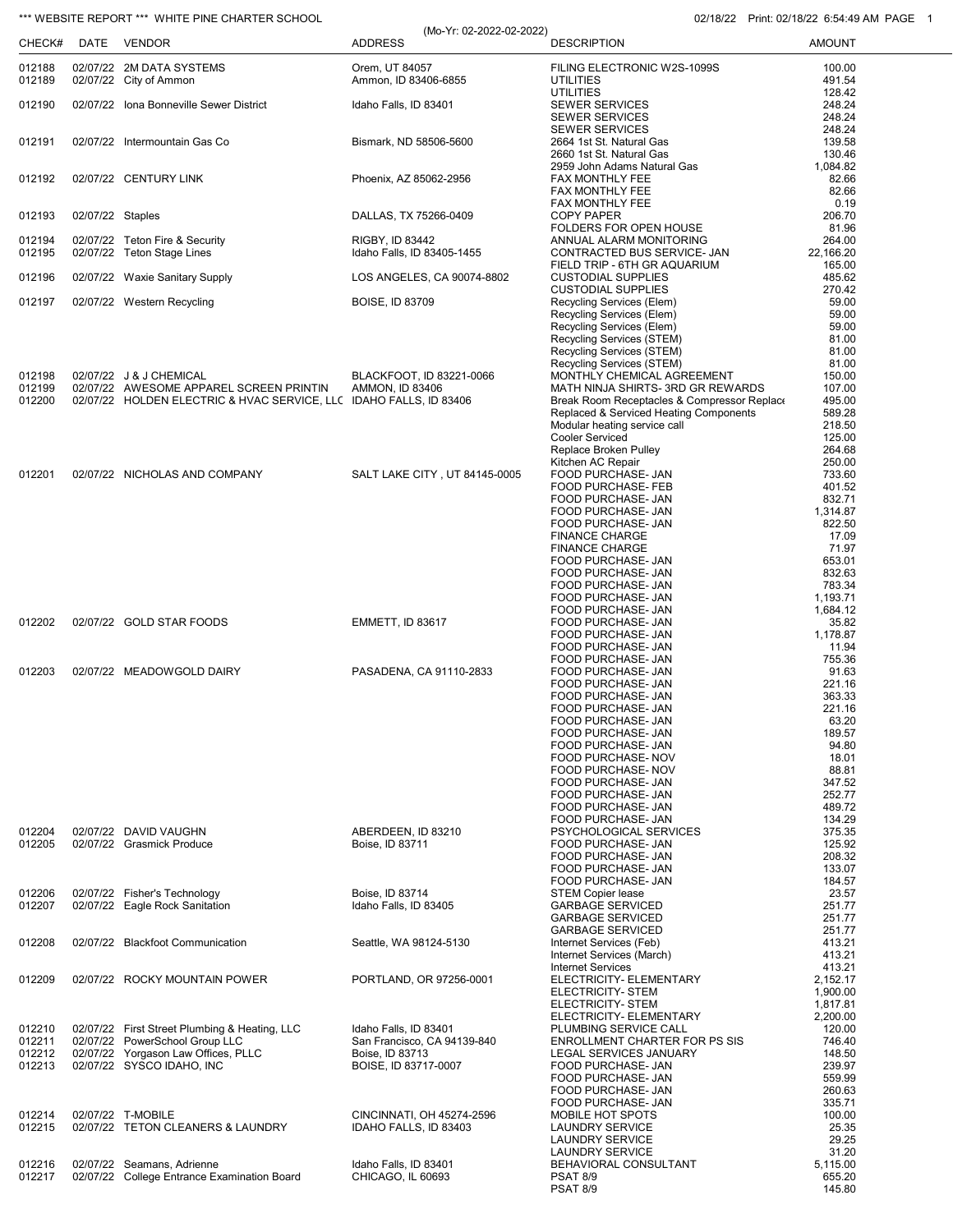## \*\*\* WEBSITE REPORT \*\*\* WHITE PINE CHARTER SCHOOL **CHARTER SCHOOL** 02/18/22 Print: 02/18/22 6:54:49 AM PAGE 1

|                  | <b>WEDSHEINEFUNT</b> | WITH E FINE OF ANTEN SOFIOOL                                       | (Mo-Yr: 02-2022-02-2022)                |                                                                                       | FILIL UZI IUIZZ U.J.H. TUNI FI |
|------------------|----------------------|--------------------------------------------------------------------|-----------------------------------------|---------------------------------------------------------------------------------------|--------------------------------|
| CHECK#           |                      | DATE VENDOR                                                        | <b>ADDRESS</b>                          | <b>DESCRIPTION</b>                                                                    | <b>AMOUNT</b>                  |
| 012188<br>012189 |                      | 02/07/22 2M DATA SYSTEMS<br>02/07/22 City of Ammon                 | Orem, UT 84057<br>Ammon, ID 83406-6855  | FILING ELECTRONIC W2S-1099S<br><b>UTILITIES</b>                                       | 100.00<br>491.54               |
|                  |                      |                                                                    |                                         | <b>UTILITIES</b>                                                                      | 128.42                         |
| 012190           |                      | 02/07/22 Iona Bonneville Sewer District                            | Idaho Falls, ID 83401                   | SEWER SERVICES<br><b>SEWER SERVICES</b>                                               | 248.24<br>248.24               |
|                  |                      |                                                                    |                                         | <b>SEWER SERVICES</b>                                                                 | 248.24                         |
| 012191           |                      | 02/07/22 Intermountain Gas Co                                      | Bismark, ND 58506-5600                  | 2664 1st St. Natural Gas<br>2660 1st St. Natural Gas                                  | 139.58<br>130.46               |
|                  |                      |                                                                    |                                         | 2959 John Adams Natural Gas                                                           | 1,084.82                       |
| 012192           |                      | 02/07/22 CENTURY LINK                                              | Phoenix, AZ 85062-2956                  | FAX MONTHLY FEE<br>FAX MONTHLY FEE                                                    | 82.66<br>82.66                 |
|                  |                      |                                                                    |                                         | FAX MONTHLY FEE                                                                       | 0.19                           |
| 012193           | 02/07/22 Staples     |                                                                    | DALLAS, TX 75266-0409                   | <b>COPY PAPER</b><br>FOLDERS FOR OPEN HOUSE                                           | 206.70<br>81.96                |
| 012194           |                      | 02/07/22 Teton Fire & Security                                     | RIGBY, ID 83442                         | ANNUAL ALARM MONITORING                                                               | 264.00                         |
| 012195           |                      | 02/07/22 Teton Stage Lines                                         | Idaho Falls, ID 83405-1455              | CONTRACTED BUS SERVICE- JAN<br>FIELD TRIP - 6TH GR AQUARIUM                           | 22,166.20<br>165.00            |
| 012196           |                      | 02/07/22 Waxie Sanitary Supply                                     | LOS ANGELES, CA 90074-8802              | <b>CUSTODIAL SUPPLIES</b>                                                             | 485.62<br>270.42               |
| 012197           |                      | 02/07/22 Western Recycling                                         | <b>BOISE, ID 83709</b>                  | <b>CUSTODIAL SUPPLIES</b><br>Recycling Services (Elem)                                | 59.00                          |
|                  |                      |                                                                    |                                         | Recycling Services (Elem)<br>Recycling Services (Elem)                                | 59.00<br>59.00                 |
|                  |                      |                                                                    |                                         | Recycling Services (STEM)                                                             | 81.00                          |
|                  |                      |                                                                    |                                         | Recycling Services (STEM)                                                             | 81.00                          |
| 012198           |                      | 02/07/22 J & J CHEMICAL                                            | BLACKFOOT, ID 83221-0066                | Recycling Services (STEM)<br>MONTHLY CHEMICAL AGREEMENT                               | 81.00<br>150.00                |
| 012199           |                      | 02/07/22 AWESOME APPAREL SCREEN PRINTIN                            | <b>AMMON, ID 83406</b>                  | MATH NINJA SHIRTS- 3RD GR REWARDS                                                     | 107.00                         |
| 012200           |                      | 02/07/22 HOLDEN ELECTRIC & HVAC SERVICE, LLC IDAHO FALLS, ID 83406 |                                         | Break Room Receptacles & Compressor Replace<br>Replaced & Serviced Heating Components | 495.00<br>589.28               |
|                  |                      |                                                                    |                                         | Modular heating service call                                                          | 218.50                         |
|                  |                      |                                                                    |                                         | <b>Cooler Serviced</b><br>Replace Broken Pulley                                       | 125.00<br>264.68               |
|                  |                      |                                                                    |                                         | Kitchen AC Repair                                                                     | 250.00                         |
| 012201           |                      | 02/07/22 NICHOLAS AND COMPANY                                      | SALT LAKE CITY, UT 84145-0005           | FOOD PURCHASE- JAN                                                                    | 733.60                         |
|                  |                      |                                                                    |                                         | FOOD PURCHASE- FEB<br>FOOD PURCHASE- JAN                                              | 401.52<br>832.71               |
|                  |                      |                                                                    |                                         | FOOD PURCHASE- JAN                                                                    | 1,314.87                       |
|                  |                      |                                                                    |                                         | FOOD PURCHASE- JAN<br><b>FINANCE CHARGE</b>                                           | 822.50<br>17.09                |
|                  |                      |                                                                    |                                         | <b>FINANCE CHARGE</b>                                                                 | 71.97                          |
|                  |                      |                                                                    |                                         | FOOD PURCHASE- JAN                                                                    | 653.01                         |
|                  |                      |                                                                    |                                         | FOOD PURCHASE- JAN<br>FOOD PURCHASE- JAN                                              | 832.63<br>783.34               |
|                  |                      |                                                                    |                                         | FOOD PURCHASE- JAN                                                                    | 1,193.71                       |
| 012202           |                      | 02/07/22 GOLD STAR FOODS                                           | EMMETT, ID 83617                        | FOOD PURCHASE- JAN<br>FOOD PURCHASE- JAN                                              | 1,684.12<br>35.82              |
|                  |                      |                                                                    |                                         | FOOD PURCHASE- JAN                                                                    | 1,178.87                       |
|                  |                      |                                                                    |                                         | FOOD PURCHASE- JAN<br>FOOD PURCHASE- JAN                                              | 11.94<br>755.36                |
| 012203           |                      | 02/07/22 MEADOWGOLD DAIRY                                          | PASADENA, CA 91110-2833                 | FOOD PURCHASE- JAN                                                                    | 91.63                          |
|                  |                      |                                                                    |                                         | FOOD PURCHASE- JAN<br>FOOD PURCHASE- JAN                                              | 221.16<br>363.33               |
|                  |                      |                                                                    |                                         | FOOD PURCHASE- JAN                                                                    | 221.16                         |
|                  |                      |                                                                    |                                         | FOOD PURCHASE- JAN                                                                    | 63.20                          |
|                  |                      |                                                                    |                                         | FOOD PURCHASE- JAN<br>FOOD PURCHASE- JAN                                              | 189.57<br>94.80                |
|                  |                      |                                                                    |                                         | FOOD PURCHASE- NOV                                                                    | 18.01                          |
|                  |                      |                                                                    |                                         | FOOD PURCHASE- NOV<br>FOOD PURCHASE- JAN                                              | 88.81<br>347.52                |
|                  |                      |                                                                    |                                         | FOOD PURCHASE- JAN                                                                    | 252.77                         |
|                  |                      |                                                                    |                                         | FOOD PURCHASE- JAN<br>FOOD PURCHASE- JAN                                              | 489.72<br>134.29               |
| 012204           |                      | 02/07/22 DAVID VAUGHN                                              | ABERDEEN, ID 83210                      | PSYCHOLOGICAL SERVICES                                                                | 375.35                         |
| 012205           |                      | 02/07/22 Grasmick Produce                                          | Boise, ID 83711                         | FOOD PURCHASE- JAN<br>FOOD PURCHASE- JAN                                              | 125.92<br>208.32               |
|                  |                      |                                                                    |                                         | FOOD PURCHASE- JAN                                                                    | 133.07                         |
|                  |                      |                                                                    | Boise, ID 83714                         | FOOD PURCHASE- JAN                                                                    | 184.57                         |
| 012206<br>012207 |                      | 02/07/22 Fisher's Technology<br>02/07/22 Eagle Rock Sanitation     | Idaho Falls. ID 83405                   | <b>STEM Copier lease</b><br><b>GARBAGE SERVICED</b>                                   | 23.57<br>251.77                |
|                  |                      |                                                                    |                                         | <b>GARBAGE SERVICED</b>                                                               | 251.77                         |
| 012208           |                      | 02/07/22 Blackfoot Communication                                   | Seattle, WA 98124-5130                  | <b>GARBAGE SERVICED</b><br>Internet Services (Feb)                                    | 251.77<br>413.21               |
|                  |                      |                                                                    |                                         | Internet Services (March)                                                             | 413.21                         |
| 012209           |                      | 02/07/22 ROCKY MOUNTAIN POWER                                      | PORTLAND, OR 97256-0001                 | <b>Internet Services</b><br>ELECTRICITY- ELEMENTARY                                   | 413.21<br>2,152.17             |
|                  |                      |                                                                    |                                         | ELECTRICITY- STEM                                                                     | 1,900.00                       |
|                  |                      |                                                                    |                                         | ELECTRICITY- STEM<br>ELECTRICITY- ELEMENTARY                                          | 1,817.81                       |
| 012210           |                      | 02/07/22 First Street Plumbing & Heating, LLC                      | Idaho Falls, ID 83401                   | PLUMBING SERVICE CALL                                                                 | 2,200.00<br>120.00             |
| 012211           |                      | 02/07/22 PowerSchool Group LLC                                     | San Francisco, CA 94139-840             | ENROLLMENT CHARTER FOR PS SIS                                                         | 746.40                         |
| 012212<br>012213 |                      | 02/07/22 Yorgason Law Offices, PLLC<br>02/07/22 SYSCO IDAHO, INC   | Boise, ID 83713<br>BOISE, ID 83717-0007 | LEGAL SERVICES JANUARY<br>FOOD PURCHASE- JAN                                          | 148.50<br>239.97               |
|                  |                      |                                                                    |                                         | FOOD PURCHASE- JAN                                                                    | 559.99                         |
|                  |                      |                                                                    |                                         | FOOD PURCHASE- JAN                                                                    | 260.63<br>335.71               |
| 012214           |                      | 02/07/22 T-MOBILE                                                  | CINCINNATI, OH 45274-2596               | FOOD PURCHASE- JAN<br>MOBILE HOT SPOTS                                                | 100.00                         |
| 012215           |                      | 02/07/22 TETON CLEANERS & LAUNDRY                                  | IDAHO FALLS, ID 83403                   | <b>LAUNDRY SERVICE</b>                                                                | 25.35                          |
|                  |                      |                                                                    |                                         | <b>LAUNDRY SERVICE</b><br><b>LAUNDRY SERVICE</b>                                      | 29.25<br>31.20                 |
| 012216           |                      | 02/07/22 Seamans, Adrienne                                         | Idaho Falls, ID 83401                   | BEHAVIORAL CONSULTANT                                                                 | 5,115.00                       |
| 012217           |                      | 02/07/22 College Entrance Examination Board                        | CHICAGO, IL 60693                       | <b>PSAT 8/9</b><br><b>PSAT 8/9</b>                                                    | 655.20<br>145.80               |
|                  |                      |                                                                    |                                         |                                                                                       |                                |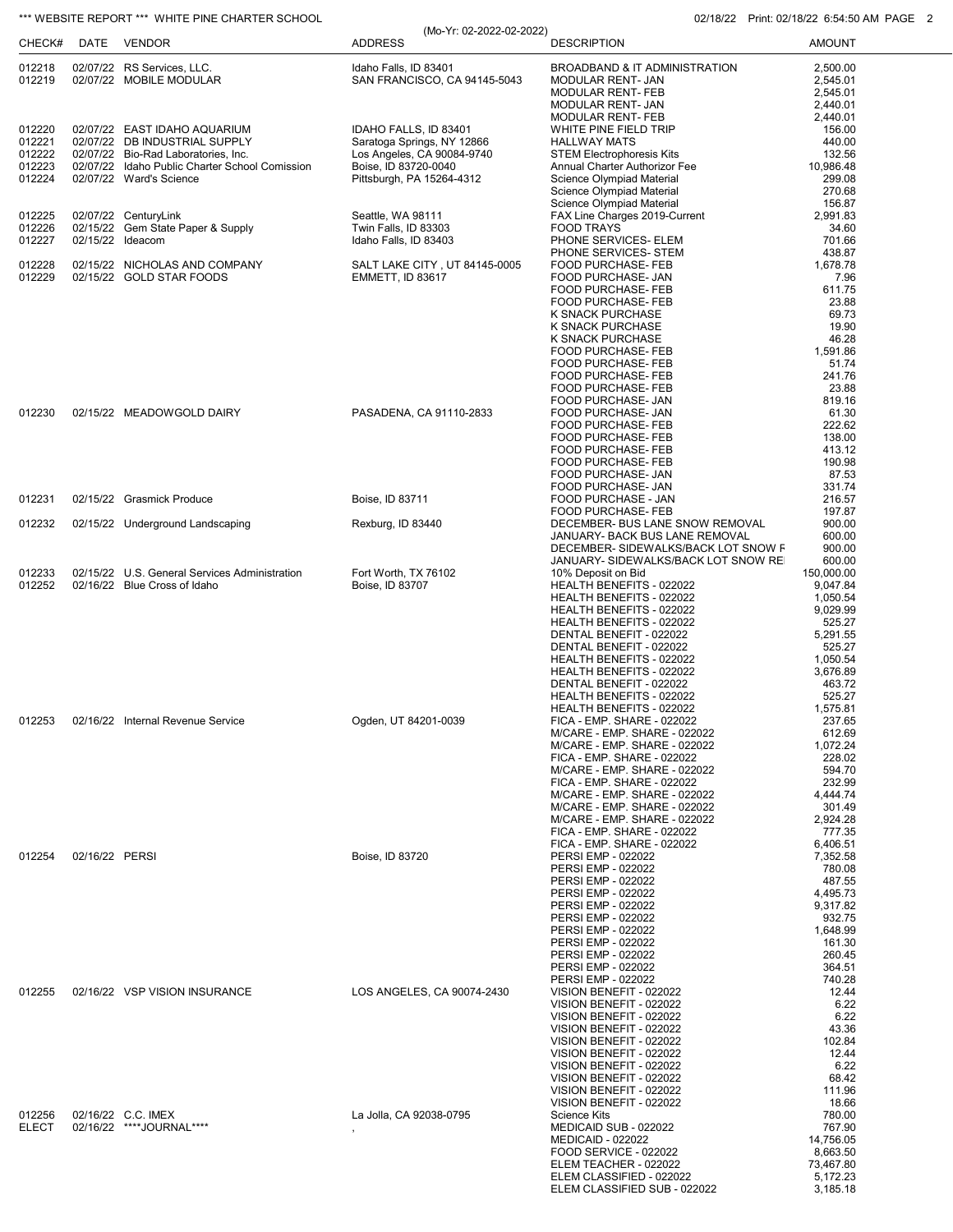# \*\*\* WEBSITE REPORT \*\*\* WHITE PINE CHARTER SCHOOL 02/18/22 Print: 02/18/22 6:54:50 AM PAGE 2

|                  |                |                                                                      | (Mo-Yr: 02-2022-02-2022)                                 |                                                                            |                       |
|------------------|----------------|----------------------------------------------------------------------|----------------------------------------------------------|----------------------------------------------------------------------------|-----------------------|
| CHECK#           |                | DATE VENDOR                                                          | <b>ADDRESS</b>                                           | <b>DESCRIPTION</b>                                                         | <b>AMOUNT</b>         |
| 012218           |                | 02/07/22 RS Services, LLC.                                           | Idaho Falls, ID 83401                                    | BROADBAND & IT ADMINISTRATION                                              | 2,500.00              |
| 012219           |                | 02/07/22 MOBILE MODULAR                                              | SAN FRANCISCO, CA 94145-5043                             | MODULAR RENT- JAN                                                          | 2,545.01              |
|                  |                |                                                                      |                                                          | MODULAR RENT- FEB<br>MODULAR RENT- JAN                                     | 2,545.01<br>2,440.01  |
|                  |                |                                                                      |                                                          | <b>MODULAR RENT-FEB</b>                                                    | 2,440.01              |
| 012220           |                | 02/07/22 EAST IDAHO AQUARIUM                                         | IDAHO FALLS, ID 83401                                    | WHITE PINE FIELD TRIP                                                      | 156.00                |
| 012221<br>012222 |                | 02/07/22 DB INDUSTRIAL SUPPLY<br>02/07/22 Bio-Rad Laboratories, Inc. | Saratoga Springs, NY 12866<br>Los Angeles, CA 90084-9740 | <b>HALLWAY MATS</b><br><b>STEM Electrophoresis Kits</b>                    | 440.00<br>132.56      |
| 012223           |                | 02/07/22 Idaho Public Charter School Comission                       | Boise, ID 83720-0040                                     | Annual Charter Authorizor Fee                                              | 10,986.48             |
| 012224           |                | 02/07/22 Ward's Science                                              | Pittsburgh, PA 15264-4312                                | Science Olympiad Material                                                  | 299.08                |
|                  |                |                                                                      |                                                          | Science Olympiad Material<br>Science Olympiad Material                     | 270.68<br>156.87      |
| 012225           |                | 02/07/22 CenturyLink                                                 | Seattle, WA 98111                                        | FAX Line Charges 2019-Current                                              | 2,991.83              |
| 012226           |                | 02/15/22 Gem State Paper & Supply                                    | Twin Falls, ID 83303                                     | <b>FOOD TRAYS</b>                                                          | 34.60                 |
| 012227           |                | 02/15/22 Ideacom                                                     | Idaho Falls, ID 83403                                    | PHONE SERVICES- ELEM<br>PHONE SERVICES- STEM                               | 701.66<br>438.87      |
| 012228           |                | 02/15/22 NICHOLAS AND COMPANY                                        | SALT LAKE CITY, UT 84145-0005                            | FOOD PURCHASE- FEB                                                         | 1,678.78              |
| 012229           |                | 02/15/22 GOLD STAR FOODS                                             | <b>EMMETT, ID 83617</b>                                  | FOOD PURCHASE- JAN                                                         | 7.96                  |
|                  |                |                                                                      |                                                          | FOOD PURCHASE- FEB<br>FOOD PURCHASE- FEB                                   | 611.75<br>23.88       |
|                  |                |                                                                      |                                                          | K SNACK PURCHASE                                                           | 69.73                 |
|                  |                |                                                                      |                                                          | K SNACK PURCHASE                                                           | 19.90                 |
|                  |                |                                                                      |                                                          | K SNACK PURCHASE<br>FOOD PURCHASE- FEB                                     | 46.28<br>1,591.86     |
|                  |                |                                                                      |                                                          | FOOD PURCHASE- FEB                                                         | 51.74                 |
|                  |                |                                                                      |                                                          | FOOD PURCHASE- FEB                                                         | 241.76                |
|                  |                |                                                                      |                                                          | FOOD PURCHASE- FEB<br>FOOD PURCHASE- JAN                                   | 23.88<br>819.16       |
| 012230           |                | 02/15/22 MEADOWGOLD DAIRY                                            | PASADENA, CA 91110-2833                                  | FOOD PURCHASE- JAN                                                         | 61.30                 |
|                  |                |                                                                      |                                                          | FOOD PURCHASE- FEB                                                         | 222.62                |
|                  |                |                                                                      |                                                          | FOOD PURCHASE- FEB<br><b>FOOD PURCHASE- FEB</b>                            | 138.00<br>413.12      |
|                  |                |                                                                      |                                                          | FOOD PURCHASE- FEB                                                         | 190.98                |
|                  |                |                                                                      |                                                          | FOOD PURCHASE- JAN                                                         | 87.53                 |
| 012231           |                | 02/15/22 Grasmick Produce                                            |                                                          | FOOD PURCHASE- JAN                                                         | 331.74<br>216.57      |
|                  |                |                                                                      | Boise, ID 83711                                          | FOOD PURCHASE - JAN<br>FOOD PURCHASE- FEB                                  | 197.87                |
| 012232           |                | 02/15/22 Underground Landscaping                                     | Rexburg, ID 83440                                        | DECEMBER- BUS LANE SNOW REMOVAL                                            | 900.00                |
|                  |                |                                                                      |                                                          | JANUARY- BACK BUS LANE REMOVAL                                             | 600.00                |
|                  |                |                                                                      |                                                          | DECEMBER- SIDEWALKS/BACK LOT SNOW F<br>JANUARY- SIDEWALKS/BACK LOT SNOW RE | 900.00<br>600.00      |
| 012233           |                | 02/15/22 U.S. General Services Administration                        | Fort Worth, TX 76102                                     | 10% Deposit on Bid                                                         | 150,000.00            |
| 012252           |                | 02/16/22 Blue Cross of Idaho                                         | Boise, ID 83707                                          | HEALTH BENEFITS - 022022                                                   | 9,047.84              |
|                  |                |                                                                      |                                                          | HEALTH BENEFITS - 022022<br>HEALTH BENEFITS - 022022                       | 1,050.54<br>9,029.99  |
|                  |                |                                                                      |                                                          | HEALTH BENEFITS - 022022                                                   | 525.27                |
|                  |                |                                                                      |                                                          | DENTAL BENEFIT - 022022                                                    | 5,291.55              |
|                  |                |                                                                      |                                                          | DENTAL BENEFIT - 022022<br>HEALTH BENEFITS - 022022                        | 525.27<br>1,050.54    |
|                  |                |                                                                      |                                                          | HEALTH BENEFITS - 022022                                                   | 3,676.89              |
|                  |                |                                                                      |                                                          | DENTAL BENEFIT - 022022                                                    | 463.72                |
|                  |                |                                                                      |                                                          | HEALTH BENEFITS - 022022<br>HEALTH BENEFITS - 022022                       | 525.27<br>1,575.81    |
| 012253           |                | 02/16/22 Internal Revenue Service                                    | Ogden, UT 84201-0039                                     | FICA - EMP. SHARE - 022022                                                 | 237.65                |
|                  |                |                                                                      |                                                          | M/CARE - EMP. SHARE - 022022                                               | 612.69                |
|                  |                |                                                                      |                                                          | M/CARE - EMP. SHARE - 022022<br>FICA - EMP. SHARE - 022022                 | 1,072.24<br>228.02    |
|                  |                |                                                                      |                                                          | M/CARE - EMP. SHARE - 022022                                               | 594.70                |
|                  |                |                                                                      |                                                          | FICA - EMP. SHARE - 022022                                                 | 232.99<br>4.444.74    |
|                  |                |                                                                      |                                                          | M/CARE - EMP. SHARE - 022022<br>M/CARE - EMP. SHARE - 022022               | 301.49                |
|                  |                |                                                                      |                                                          | M/CARE - EMP. SHARE - 022022                                               | 2,924.28              |
|                  |                |                                                                      |                                                          | FICA - EMP. SHARE - 022022<br>FICA - EMP. SHARE - 022022                   | 777.35<br>6,406.51    |
| 012254           | 02/16/22 PERSI |                                                                      | Boise, ID 83720                                          | PERSI EMP - 022022                                                         | 7,352.58              |
|                  |                |                                                                      |                                                          | PERSI EMP - 022022                                                         | 780.08                |
|                  |                |                                                                      |                                                          | PERSI EMP - 022022                                                         | 487.55<br>4,495.73    |
|                  |                |                                                                      |                                                          | PERSI EMP - 022022<br>PERSI EMP - 022022                                   | 9,317.82              |
|                  |                |                                                                      |                                                          | PERSI EMP - 022022                                                         | 932.75                |
|                  |                |                                                                      |                                                          | PERSI EMP - 022022                                                         | 1,648.99              |
|                  |                |                                                                      |                                                          | PERSI EMP - 022022<br>PERSI EMP - 022022                                   | 161.30<br>260.45      |
|                  |                |                                                                      |                                                          | PERSI EMP - 022022                                                         | 364.51                |
|                  |                |                                                                      |                                                          | PERSI EMP - 022022                                                         | 740.28                |
| 012255           |                | 02/16/22 VSP VISION INSURANCE                                        | LOS ANGELES, CA 90074-2430                               | VISION BENEFIT - 022022<br>VISION BENEFIT - 022022                         | 12.44<br>6.22         |
|                  |                |                                                                      |                                                          | VISION BENEFIT - 022022                                                    | 6.22                  |
|                  |                |                                                                      |                                                          | VISION BENEFIT - 022022                                                    | 43.36                 |
|                  |                |                                                                      |                                                          | VISION BENEFIT - 022022<br>VISION BENEFIT - 022022                         | 102.84<br>12.44       |
|                  |                |                                                                      |                                                          | VISION BENEFIT - 022022                                                    | 6.22                  |
|                  |                |                                                                      |                                                          | VISION BENEFIT - 022022                                                    | 68.42                 |
|                  |                |                                                                      |                                                          | VISION BENEFIT - 022022<br>VISION BENEFIT - 022022                         | 111.96<br>18.66       |
| 012256           |                | 02/16/22 C.C. IMEX                                                   | La Jolla, CA 92038-0795                                  | Science Kits                                                               | 780.00                |
| <b>ELECT</b>     |                | 02/16/22 ****JOURNAL****                                             |                                                          | MEDICAID SUB - 022022                                                      | 767.90                |
|                  |                |                                                                      |                                                          | <b>MEDICAID - 022022</b><br>FOOD SERVICE - 022022                          | 14,756.05             |
|                  |                |                                                                      |                                                          | ELEM TEACHER - 022022                                                      | 8,663.50<br>73,467.80 |
|                  |                |                                                                      |                                                          | ELEM CLASSIFIED - 022022                                                   | 5,172.23              |
|                  |                |                                                                      |                                                          | ELEM CLASSIFIED SUB - 022022                                               | 3,185.18              |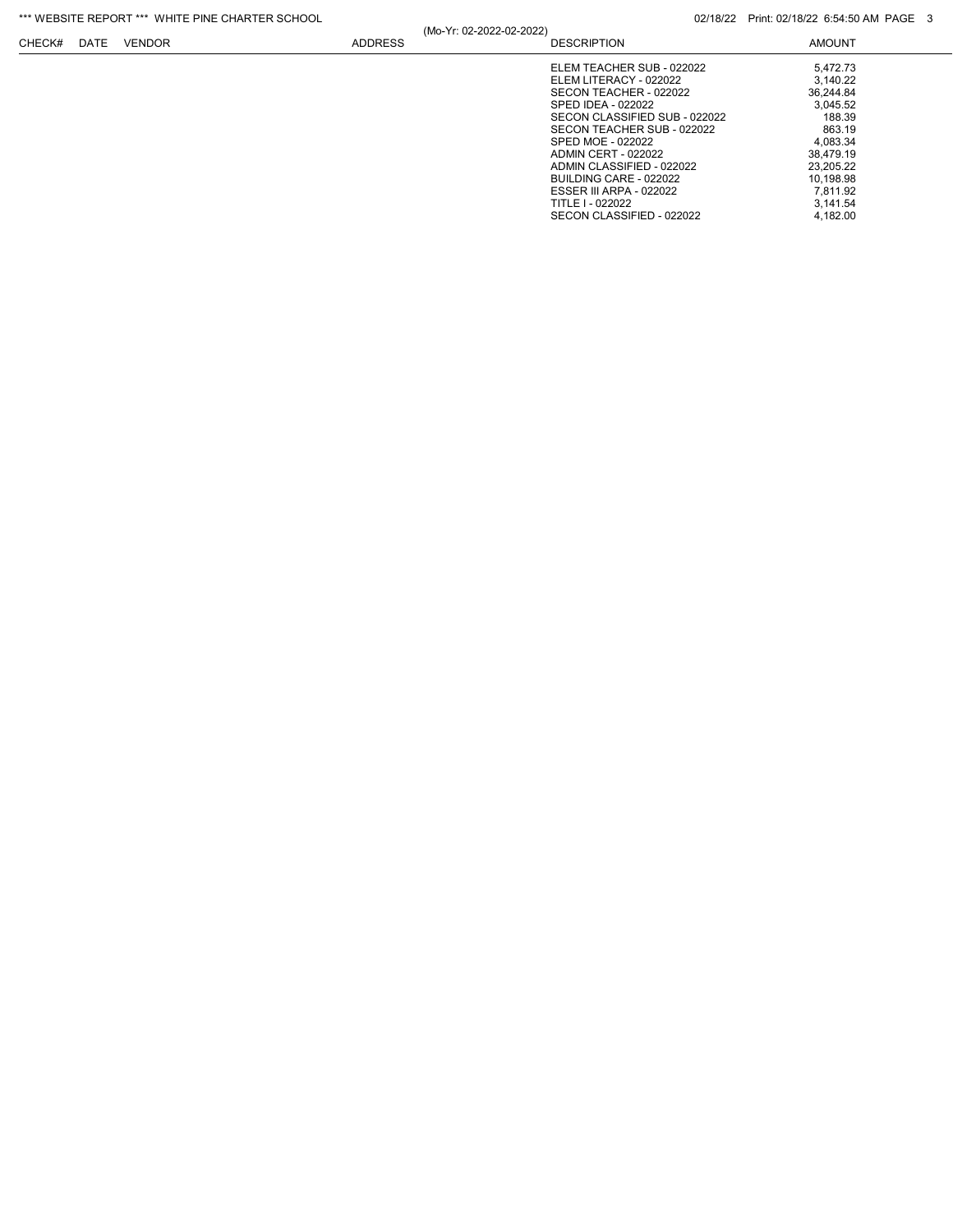### \*\*\* WEBSITE REPORT \*\*\* WHITE PINE CHARTER SCHOOL **CHARTER SCHOOL** 02/18/22 Print: 02/18/22 6:54:50 AM PAGE 3

|        |      |               |                | (Mo-Yr: 02-2022-02-2022) |                                                                                                                                                                                                                                                                                                                |                                                                                                                                  |
|--------|------|---------------|----------------|--------------------------|----------------------------------------------------------------------------------------------------------------------------------------------------------------------------------------------------------------------------------------------------------------------------------------------------------------|----------------------------------------------------------------------------------------------------------------------------------|
| CHECK# | DATE | <b>VENDOR</b> | <b>ADDRESS</b> |                          | <b>DESCRIPTION</b>                                                                                                                                                                                                                                                                                             | <b>AMOUNT</b>                                                                                                                    |
|        |      |               |                |                          | ELEM TEACHER SUB - 022022<br>ELEM LITERACY - 022022<br>SECON TEACHER - 022022<br>SPED IDEA - 022022<br>SECON CLASSIFIED SUB - 022022<br>SECON TEACHER SUB - 022022<br>SPED MOE - 022022<br><b>ADMIN CERT - 022022</b><br>ADMIN CLASSIFIED - 022022<br>BUILDING CARE - 022022<br><b>ESSER III ARPA - 022022</b> | 5,472.73<br>3.140.22<br>36,244.84<br>3.045.52<br>188.39<br>863.19<br>4.083.34<br>38.479.19<br>23.205.22<br>10.198.98<br>7.811.92 |
|        |      |               |                |                          | TITLE I - 022022<br>SECON CLASSIFIED - 022022                                                                                                                                                                                                                                                                  | 3.141.54<br>4,182.00                                                                                                             |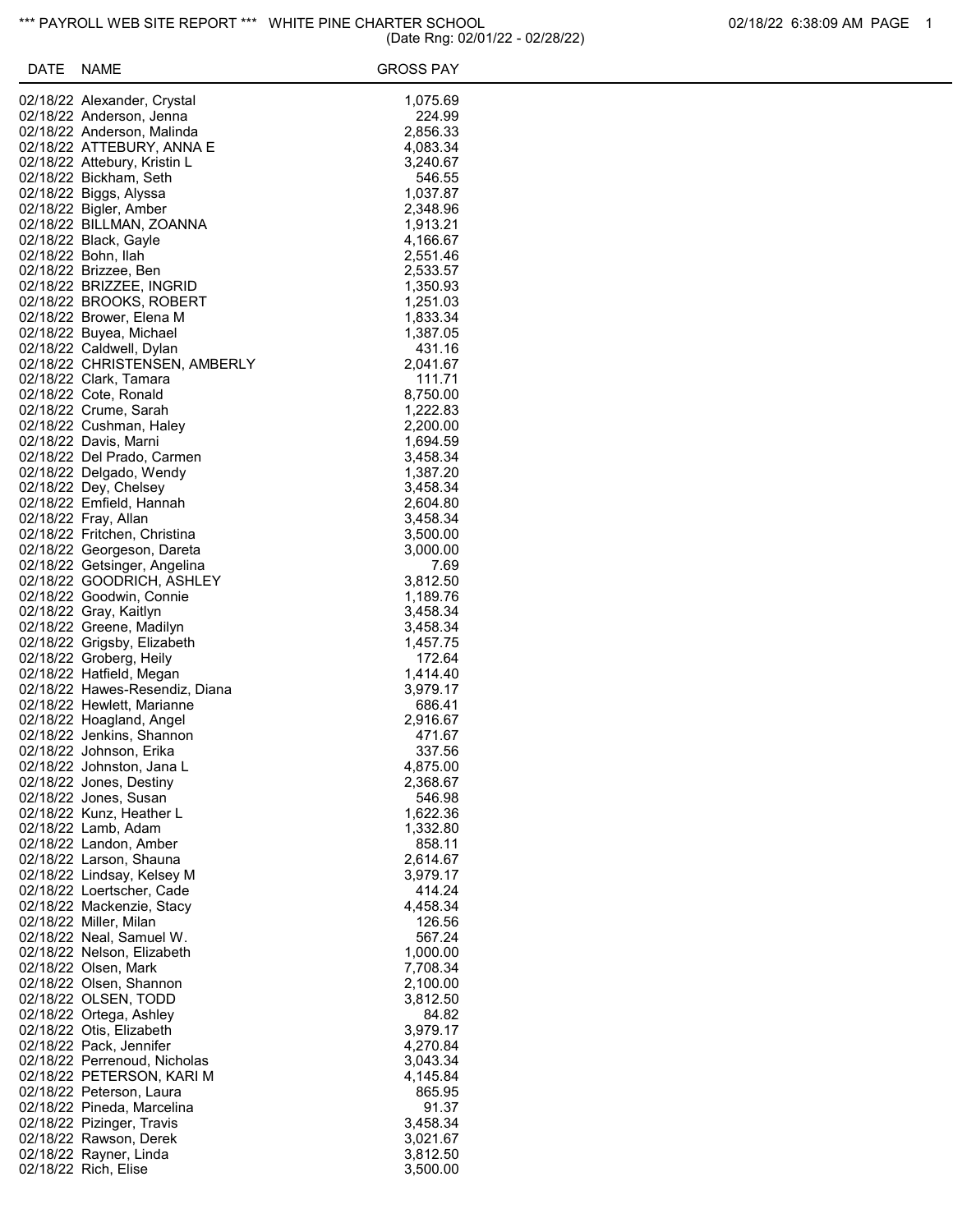| DATE | <b>NAME</b>                                         | <b>GROSS PAY</b>     |
|------|-----------------------------------------------------|----------------------|
|      | 02/18/22 Alexander, Crystal                         | 1,075.69             |
|      | 02/18/22 Anderson, Jenna                            | 224.99               |
|      | 02/18/22 Anderson, Malinda                          | 2,856.33             |
|      | 02/18/22 ATTEBURY, ANNA E                           | 4,083.34             |
|      | 02/18/22 Attebury, Kristin L                        | 3,240.67             |
|      | 02/18/22 Bickham, Seth                              | 546.55               |
|      | 02/18/22 Biggs, Alyssa                              | 1,037.87             |
|      | 02/18/22 Bigler, Amber                              | 2,348.96             |
|      | 02/18/22 BILLMAN, ZOANNA                            | 1,913.21             |
|      | 02/18/22 Black, Gayle                               | 4,166.67             |
|      | 02/18/22 Bohn, Ilah<br>02/18/22 Brizzee, Ben        | 2,551.46<br>2,533.57 |
|      | 02/18/22 BRIZZEE, INGRID                            | 1,350.93             |
|      | 02/18/22 BROOKS, ROBERT                             | 1,251.03             |
|      | 02/18/22 Brower, Elena M                            | 1,833.34             |
|      | 02/18/22 Buyea, Michael                             | 1,387.05             |
|      | 02/18/22 Caldwell, Dylan                            | 431.16               |
|      | 02/18/22 CHRISTENSEN, AMBERLY                       | 2,041.67             |
|      | 02/18/22 Clark, Tamara                              | 111.71               |
|      | 02/18/22 Cote, Ronald                               | 8,750.00             |
|      | 02/18/22 Crume, Sarah                               | 1,222.83             |
|      | 02/18/22 Cushman, Haley                             | 2,200.00<br>1,694.59 |
|      | 02/18/22 Davis, Marni<br>02/18/22 Del Prado, Carmen | 3,458.34             |
|      | 02/18/22 Delgado, Wendy                             | 1,387.20             |
|      | 02/18/22 Dey, Chelsey                               | 3,458.34             |
|      | 02/18/22 Emfield, Hannah                            | 2,604.80             |
|      | 02/18/22 Fray, Allan                                | 3,458.34             |
|      | 02/18/22 Fritchen, Christina                        | 3,500.00             |
|      | 02/18/22 Georgeson, Dareta                          | 3,000.00             |
|      | 02/18/22 Getsinger, Angelina                        | 7.69                 |
|      | 02/18/22 GOODRICH, ASHLEY                           | 3,812.50             |
|      | 02/18/22 Goodwin, Connie                            | 1,189.76             |
|      | 02/18/22 Gray, Kaitlyn<br>02/18/22 Greene, Madilyn  | 3,458.34<br>3,458.34 |
|      | 02/18/22 Grigsby, Elizabeth                         | 1,457.75             |
|      | 02/18/22 Groberg, Heily                             | 172.64               |
|      | 02/18/22 Hatfield, Megan                            | 1,414.40             |
|      | 02/18/22 Hawes-Resendiz, Diana                      | 3,979.17             |
|      | 02/18/22 Hewlett, Marianne                          | 686.41               |
|      | 02/18/22 Hoagland, Angel                            | 2,916.67             |
|      | 02/18/22 Jenkins, Shannon                           | 471.67               |
|      | 02/18/22 Johnson, Erika                             | 337.56               |
|      | 02/18/22 Johnston, Jana L                           | 4,875.00             |
|      | 02/18/22 Jones, Destiny<br>02/18/22 Jones, Susan    | 2,368.67<br>546.98   |
|      | 02/18/22 Kunz, Heather L                            | 1,622.36             |
|      | 02/18/22 Lamb, Adam                                 | 1,332.80             |
|      | 02/18/22 Landon, Amber                              | 858.11               |
|      | 02/18/22 Larson, Shauna                             | 2,614.67             |
|      | 02/18/22 Lindsay, Kelsey M                          | 3,979.17             |
|      | 02/18/22 Loertscher, Cade                           | 414.24               |
|      | 02/18/22 Mackenzie, Stacy                           | 4,458.34             |
|      | 02/18/22 Miller, Milan                              | 126.56               |
|      | 02/18/22 Neal, Samuel W.                            | 567.24               |
|      | 02/18/22 Nelson, Elizabeth<br>02/18/22 Olsen, Mark  | 1,000.00<br>7,708.34 |
|      | 02/18/22 Olsen, Shannon                             | 2,100.00             |
|      | 02/18/22 OLSEN, TODD                                | 3,812.50             |
|      | 02/18/22 Ortega, Ashley                             | 84.82                |
|      | 02/18/22 Otis, Elizabeth                            | 3,979.17             |
|      | 02/18/22 Pack, Jennifer                             | 4,270.84             |
|      | 02/18/22 Perrenoud, Nicholas                        | 3,043.34             |
|      | 02/18/22 PETERSON, KARI M                           | 4,145.84             |
|      | 02/18/22 Peterson, Laura                            | 865.95               |
|      | 02/18/22 Pineda, Marcelina                          | 91.37                |
|      | 02/18/22 Pizinger, Travis<br>02/18/22 Rawson, Derek | 3,458.34<br>3,021.67 |
|      | 02/18/22 Rayner, Linda                              | 3,812.50             |
|      | 02/18/22 Rich, Elise                                | 3,500.00             |
|      |                                                     |                      |